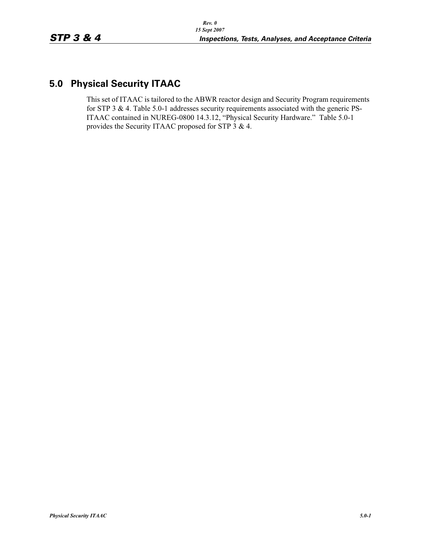## **5.0 Physical Security ITAAC**

This set of ITAAC is tailored to the ABWR reactor design and Security Program requirements for STP 3 & 4. Table 5.0-1 addresses security requirements associated with the generic PS-ITAAC contained in NUREG-0800 14.3.12, "Physical Security Hardware." Table 5.0-1 provides the Security ITAAC proposed for STP 3 & 4.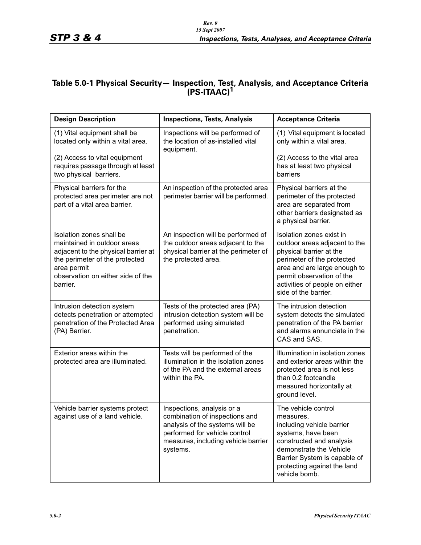## **Table 5.0-1 Physical Security— Inspection, Test, Analysis, and Acceptance Criteria (PS-ITAAC)1**

| <b>Design Description</b>                                                                                                                                                                        | <b>Inspections, Tests, Analysis</b>                                                                                                                                                 | <b>Acceptance Criteria</b>                                                                                                                                                                                                                |
|--------------------------------------------------------------------------------------------------------------------------------------------------------------------------------------------------|-------------------------------------------------------------------------------------------------------------------------------------------------------------------------------------|-------------------------------------------------------------------------------------------------------------------------------------------------------------------------------------------------------------------------------------------|
| (1) Vital equipment shall be<br>located only within a vital area.                                                                                                                                | Inspections will be performed of<br>the location of as-installed vital<br>equipment.                                                                                                | (1) Vital equipment is located<br>only within a vital area.                                                                                                                                                                               |
| (2) Access to vital equipment<br>requires passage through at least<br>two physical barriers.                                                                                                     |                                                                                                                                                                                     | (2) Access to the vital area<br>has at least two physical<br>barriers                                                                                                                                                                     |
| Physical barriers for the<br>protected area perimeter are not<br>part of a vital area barrier.                                                                                                   | An inspection of the protected area<br>perimeter barrier will be performed.                                                                                                         | Physical barriers at the<br>perimeter of the protected<br>area are separated from<br>other barriers designated as<br>a physical barrier.                                                                                                  |
| Isolation zones shall be<br>maintained in outdoor areas<br>adjacent to the physical barrier at<br>the perimeter of the protected<br>area permit<br>observation on either side of the<br>barrier. | An inspection will be performed of<br>the outdoor areas adjacent to the<br>physical barrier at the perimeter of<br>the protected area.                                              | Isolation zones exist in<br>outdoor areas adjacent to the<br>physical barrier at the<br>perimeter of the protected<br>area and are large enough to<br>permit observation of the<br>activities of people on either<br>side of the barrier. |
| Intrusion detection system<br>detects penetration or attempted<br>penetration of the Protected Area<br>(PA) Barrier.                                                                             | Tests of the protected area (PA)<br>intrusion detection system will be<br>performed using simulated<br>penetration.                                                                 | The intrusion detection<br>system detects the simulated<br>penetration of the PA barrier<br>and alarms annunciate in the<br>CAS and SAS.                                                                                                  |
| Exterior areas within the<br>protected area are illuminated.                                                                                                                                     | Tests will be performed of the<br>illumination in the isolation zones<br>of the PA and the external areas<br>within the PA.                                                         | Illumination in isolation zones<br>and exterior areas within the<br>protected area is not less<br>than 0.2 footcandle<br>measured horizontally at<br>ground level.                                                                        |
| Vehicle barrier systems protect<br>against use of a land vehicle.                                                                                                                                | Inspections, analysis or a<br>combination of inspections and<br>analysis of the systems will be<br>performed for vehicle control<br>measures, including vehicle barrier<br>systems. | The vehicle control<br>measures,<br>including vehicle barrier<br>systems, have been<br>constructed and analysis<br>demonstrate the Vehicle<br>Barrier System is capable of<br>protecting against the land<br>vehicle bomb.                |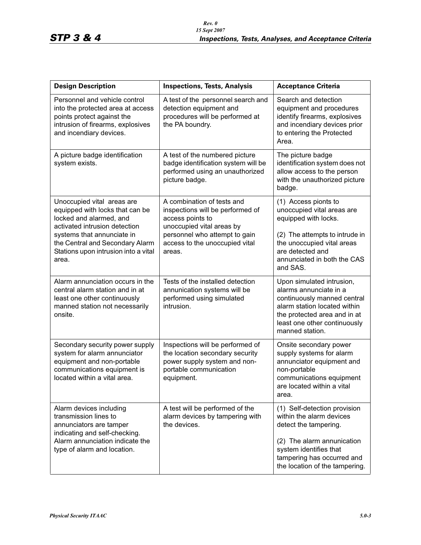| <b>Design Description</b>                                                                                                                                                                                                                   | <b>Inspections, Tests, Analysis</b>                                                                                                                                                          | <b>Acceptance Criteria</b>                                                                                                                                                                                |
|---------------------------------------------------------------------------------------------------------------------------------------------------------------------------------------------------------------------------------------------|----------------------------------------------------------------------------------------------------------------------------------------------------------------------------------------------|-----------------------------------------------------------------------------------------------------------------------------------------------------------------------------------------------------------|
| Personnel and vehicle control<br>into the protected area at access<br>points protect against the<br>intrusion of firearms, explosives<br>and incendiary devices.                                                                            | A test of the personnel search and<br>detection equipment and<br>procedures will be performed at<br>the PA boundry.                                                                          | Search and detection<br>equipment and procedures<br>identify firearms, explosives<br>and incendiary devices prior<br>to entering the Protected<br>Area.                                                   |
| A picture badge identification<br>system exists.                                                                                                                                                                                            | A test of the numbered picture<br>badge identification system will be<br>performed using an unauthorized<br>picture badge.                                                                   | The picture badge<br>identification system does not<br>allow access to the person<br>with the unauthorized picture<br>badge.                                                                              |
| Unoccupied vital areas are<br>equipped with locks that can be<br>locked and alarmed, and<br>activated intrusion detection<br>systems that annunciate in<br>the Central and Secondary Alarm<br>Stations upon intrusion into a vital<br>area. | A combination of tests and<br>inspections will be performed of<br>access points to<br>unoccupied vital areas by<br>personnel who attempt to gain<br>access to the unoccupied vital<br>areas. | (1) Access pionts to<br>unoccupied vital areas are<br>equipped with locks.<br>(2) The attempts to intrude in<br>the unoccupied vital areas<br>are detected and<br>annunciated in both the CAS<br>and SAS. |
| Alarm annunciation occurs in the<br>central alarm station and in at<br>least one other continuously<br>manned station not necessarily<br>onsite.                                                                                            | Tests of the installed detection<br>annunication systems will be<br>performed using simulated<br>intrusion.                                                                                  | Upon simulated intrusion,<br>alarms annunciate in a<br>continuously manned central<br>alarm station located within<br>the protected area and in at<br>least one other continuously<br>manned station.     |
| Secondary security power supply<br>system for alarm annunciator<br>equipment and non-portable<br>communications equipment is<br>located within a vital area.                                                                                | Inspections will be performed of<br>the location secondary security<br>power supply system and non-<br>portable communication<br>equipment.                                                  | Onsite secondary power<br>supply systems for alarm<br>annunciator equipment and<br>non-portable<br>communications equipment<br>are located within a vital<br>area.                                        |
| Alarm devices including<br>transmission lines to<br>annunciators are tamper<br>indicating and self-checking.<br>Alarm annunciation indicate the<br>type of alarm and location.                                                              | A test will be performed of the<br>alarm devices by tampering with<br>the devices.                                                                                                           | (1) Self-detection provision<br>within the alarm devices<br>detect the tampering.<br>(2) The alarm annunication<br>system identifies that<br>tampering has occurred and<br>the location of the tampering. |